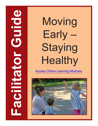# $\bullet$ **Facilitator Guide** U  $\overline{\textbf{C}}$

Moving Early – **Staying** Healthy

[Access Online Learning Modules](https://www.easternct.edu/center-for-early-childhood-education/online-learning-modules.html)

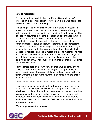#### **Note to facilitator:**

The online training module "Moving Early - Staying Healthy" provides an excellent opportunity for home visitors who appreciate the flexibility of distance learning.

The pairing of the online training with a facilitated discussion (a proven more traditional method of education, whose efficacy is widely recognized) is innovative and provides for added value. The discussion allows for the sharing of personal experiences that help to illuminate the information in the module. It also provides opportunities to use the basic skills that are so essential for communication – "serve and return", listening, facial expressions, vocal intonation, eye contact - things that are absent from today's communication using technology. (In these days of emails, text messages, "selfies", and social media, it's nice to meet face-to-face once in a while!) Also, laughter, stories, music, and role-plays as part of the discussion, injects an emotional component to the learning opportunity. These types of elements are incorporated into this Facilitator Guide.

Home visitors spend time with families that have an array of gifts, skills, cultures and many times challenges. The opportunity to share experiences, strategies, solutions, and successes with other family workers is much more powerful than completing the online education alone.

\*\*\*\*\*\*\*\*\*\*\*\*\*\*\*\*\*\*\*\*\*\*\*\*\*\*\*\*\*\*\*\*\*\*\*\*\*\*\*\*\*\*\*\*\*\*\*\*\*\*\*\*\*\*\*\*\*\*\*\*\*\*\*\*\*\*\*\*\*\*\*\*\*\*

This Guide provides some ideas for a trainer or supervisor wishing to facilitate a follow-up discussion with a group of home visitors who have completed the module. It assumes that the facilitator has also completed the module and is familiar with its contents and resources. You don't necessarily have to be a content expert to lead the activities and discussions. Feel free to adjust and add your own creative ideas.

We hope you enjoy the process!

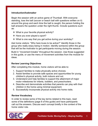#### **Introduction/Icebreaker**

Begin the session with an active game of Thumball. With everyone standing, toss the ball (soccer or beach ball with questions written on it) around the group and each time the ball is caught, the person holding the ball answers the question under the right thumb. Include questions such as:

- What is your favorite physical activity?
- Have you ever played a sport?
- What is one way that you get active during your workday?

Ask home visitors: "Who here loves to be active?" Identify those in the group who really enjoy being in motion. Identify someone within the group that will be the motivator to get participants moving during the session.

Build in "movement breaks" throughout the session. Use those suggested in this guide, or use the menu of movement activities from the module for ideas.

#### **Review Learning Objectives**

After completing this module, home visitors will be able to:

- 1. Support families to make physically active choices.
- 2. Assist families to provide safe spaces and opportunities for young children's physical activity, both indoors and out.
- 3. Understand and help families to support the attainment of major motor milestones for infants, toddlers, and preschoolers.
- 4. Describe and demonstrate activities that parents can play with their children in the home using minimal equipment.
- 5. Successfully incorporate physical activity into home visits.

#### **Review Vocabulary**

In order to review some of the key terms related to this topic, read some of the definitions (page 8 of this guide) and have participants call out the answers. Discuss each concept briefly in the context of the home visitor role.

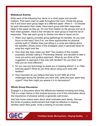#### **Walkabout Activity**

Write each of the following four items on a chart paper and provide markers. Post each chart on walls throughout the room. Divide the group into 4 and have each group begin at a different paper. Allow 5 – 10 minutes for each discussion then rotate. Have each group add their responses/ ideas to the paper as they go. Do one final rotation so the groups end up at their initial question. Allow a few minutes for each group to read the list of responses. Then ask each group to choose one idea to report out on.

- 1. When your agency provides group gatherings for families, do you ever focus on this topic? And if so, are there opportunities for physical activity built in? (Rather than just sitting in a circle and talking about the benefits.) Share some of the strategies used or generate ideas for what this might look like.
- 2. How does this topic make you feel? The creators of this module purposely avoided calling it "Preventing Obesity" and decided to take a more pro-active and positive approach. What do you think of the suggestion to approach it this way with families? Do you think it will help you be more effective?
- 3. Do you use any technology to assist you in keeping active? (I. e, Fitbit, exercise apps?) What do you think about using such tools with families?
- 4. How important do you believe this topic to be? With all of the challenges facing the families you work with, does this topic seem less urgent? How then might you weave it in to discussions?

# **Whole Group Discussion**

Engage in a discussion about the differences between knowing and doing. This is a major theme in this module because a lot of the information about the importance of physical activity is generally well known.

Ask how home visitors learn about what motivates each family. Discuss the kinds of positive reinforcement that might be effective in helping families reach their goals. Invite a sharing of success stories.

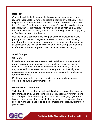# **Role Play**

One of the printable documents in the course includes some common reasons that people list for not engaging in regular physical activity and helpful tips to overcome these perceived barriers. However, sometimes these "excuses" might just be people's way of explaining to others (or a rationalization for themselves) why they don't do something they know they should do, but are really not interested in doing, don't find enjoyable, or feel is not a priority for them, etc.

Use the list as a springboard to role-play some conversations. Guide participants to use encouragement instead of persuasion in thinking about how they might respond to a parent's reasons for not being active. (If participants are familiar with Motivational Interviewing, this may be a useful way for them to approach this conversation with a family.)

#### **Small Groups**

#### Self-Care

Provide paper and colored markers. Ask participants to work in small groups to create an example of a home visitor's typical daily work schedule. Then have them use a different color to identify places that they could add some movement and healthy activities that might be sustainable. Encourage all group members to consider the implications for their own habits.

Post these around the room and provide an opportunity to see each other's ideas during a movement break.

#### **Whole Group Discussion**

Talk about the types of home visit activities that are most often planned for parent and child. Do they tend to be mostly sedentary? If movement isn't often part of the visit – why not? Is it more challenging? (Perhaps home visitors believe that some children actually are active enough and so need more assistance to sit and do something focused.) Explore their perspectives.

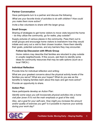### **Partner Conversation**

Have participants turn to a partner and discuss the following:

*What are your favorite kinds of activities to do with children? How could you make them more active?*

Invite a few volunteers to share with the larger group.

#### **Small Groups**

Sharing of strategies to get home visitors to move visits beyond the home – do they utilize the community, go for walks, play outside?

Supply pictures of various places in the community. Pass them out to small groups and encourage home visitors to brainstorm how they would initiate and carry out a visit to their chosen location. Have them identify their goals, potential outcomes, and any barriers they may encounter.

#### **Follow-Up Discussion with Whole Group**

Home visitors may describe that families are reluctant to play outside in unsafe neighborhoods. If this occurs, ask them to identify some ideas for community resources that may be safe options (such as a local YMCA.)

#### **Individual Reflection**

Provide time for individual reflection and writing:

What are your greatest concerns about the physical activity levels of the families you serve? What are your hopes? What do you see as the benefits to helping families learn about this topic and get more active?

Provide an opportunity to share.

# **Action Plan**

Have participants develop an Action Plan:

*Identify some ways you will incorporate physical activities into a home visit plan (even if it's not the main emphasis or goal of the visit).* 

*Also, set a goal for your self-care. How might you increase the amount and/or quality of exercise you get? Is it possible to improve your activity during your work day?*

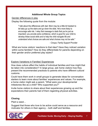# **Additional Whole Group Topics**

Gender differences in play

Display the following quote from the module:

"I talk about the differences with dad. Mom may be a little bit hesitant to let baby go up the stairs and go down the slide. He's more likely to encourage safe risk. I relay that message to dads that you're just as important; you provide extra confidence, which is good for your child to develop these social skills and to help the child navigate life and understand what choices are safe and what choices may not be safe."

- Cinque, Family Support Provider

What are home visitors' reactions to that idea? Have they noticed variation within some families? How do they differentiate for parents depending on their gender and/or preferred play styles?

#### Explore Variations in Families' Experiences

How does culture affect the habits of individual families and how might that be taken into consideration? In large group, ask home visitors how they present the recommended practices to parents who have different cultural customs.

Could have them work in small groups to generate ideas for conversation starters to learn more about families' experiences and values. For example, a home visitor might ask a parent, "What were your developmental milestones like as a child? Who supported you?"

Invite home visitors to share about their experiences growing up and the expectations their parents had of them regarding physical activities.

# **Closing**

Plant a seed…

Suggest that those who love to be active could serve as a resource and motivator for others in their agency – both staff and families.